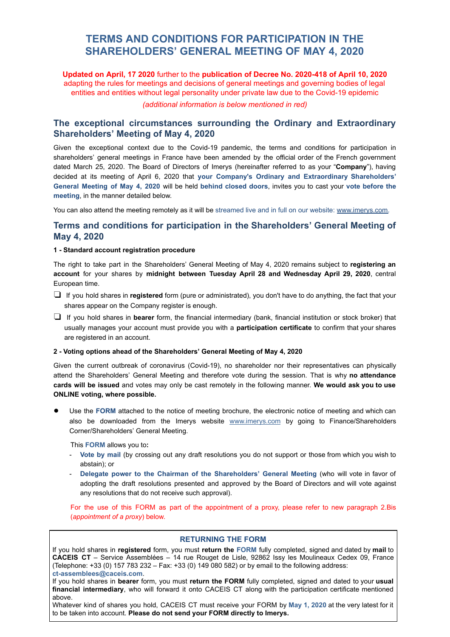# **TERMS AND CONDITIONS FOR PARTICIPATION IN THE SHAREHOLDERS' GENERAL MEETING OF MAY 4, 2020**

**Updated on April, 17 2020** further to the **publication of Decree No. 2020-418 of April 10, 2020** adapting the rules for meetings and decisions of general meetings and governing bodies of legal entities and entities without legal personality under private law due to the Covid-19 epidemic

*(additional information is below mentioned in red)*

# **The exceptional circumstances surrounding the Ordinary and Extraordinary Shareholders' Meeting of May 4, 2020**

Given the exceptional context due to the Covid-19 pandemic, the terms and conditions for participation in shareholders' general meetings in France have been amended by the official order of the French government dated March 25, 2020. The Board of Directors of Imerys (hereinafter referred to as your " **Company** "), having decided at its meeting of April 6, 2020 that **your Company's Ordinary and Extraordinary Shareholders' General Meeting of May 4, 2020** will be held **behind closed doors** , invites you to cast your **vote before the**  meeting, in the manner detailed below.

You can also attend the meeting remotely as it will be streamed live and in full on our website: www.imerys.com.

# **Terms and conditions for participation in the Shareholders' General Meeting of May 4, 2020**

#### **1 - Standard account registration procedure**

The right to take part in the Shareholders' General Meeting of May 4, 2020 remains subject to **registering an account** for your shares by **midnight between Tuesday April 28 and Wednesday April 29, 2020** , central European time.

- ❏ If you hold shares in **registered** form (pure or administrated), you don't have to do anything, the fact that your shares appear on the Company register is enough.
- ❏ If you hold shares in **bearer** form, the financial intermediary (bank, financial institution or stock broker) that usually manages your account must provide you with a **participation certificate** to confirm that your shares are registered in an account.

#### **2 - Voting options ahead of the Shareholders' General Meeting of May 4, 2020**

Given the current outbreak of coronavirus (Covid-19), no shareholder nor their representatives can physically attend the Shareholders' General Meeting and therefore vote during the session. That is why **no attendance cards will be issued** and votes may only be cast remotely in the following manner. **We would ask you to use ONLINE voting, where possible.** 

Use the FORM attached to the notice of meeting brochure, the electronic notice of meeting and which can also be downloaded from the Imerys website [www.imerys.com](http://www.imerys.com/) by going to Finance/Shareholders Corner/Shareholders' General Meeting.

This **FORM** allows you to:

- **Vote by mail** (by crossing out any draft resolutions you do not support or those from which you wish to abstain); or
- **Delegate power to the Chairman of the Shareholders' General Meeting** (who will vote in favor of adopting the draft resolutions presented and approved by the Board of Directors and will vote against any resolutions that do not receive such approval).

For the use of this FORM as part of the appointment of a proxy, please refer to new paragraph 2.Bis ( *appointment of a proxy* ) below.

### **RETURNING THE FORM**

If you hold shares in **registered** form, you must **return the FORM** fully completed, signed and dated by **mail** to **CACEIS CT** – Service Assemblées – 14 rue Rouget de Lisle, 92862 Issy les Moulineaux Cedex 09, France (Telephone: +33 (0) 157 783 232 – Fax: +33 (0) 149 080 582) or by email to the following address: **ct-assemblees@caceis.com** .

If you hold shares in **bearer** form, you must **return the FORM** fully completed, signed and dated to your **usual**  financial intermediary, who will forward it onto CACEIS CT along with the participation certificate mentioned above.

Whatever kind of shares you hold, CACEIS CT must receive your FORM by **May 1, 2020** at the very latest for it to be taken into account. **Please do not send your FORM directly to Imerys.**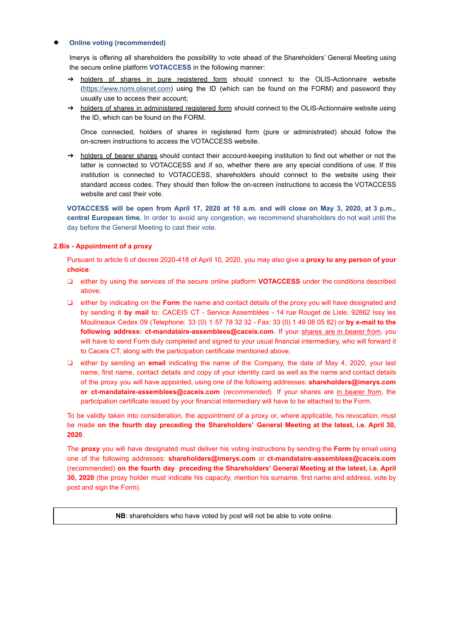#### **Online voting (recommended)**

Imerys is offering all shareholders the possibility to vote ahead of the Shareholders' General Meeting using the secure online platform **VOTACCESS** in the following manner:

- → holders of shares in pure registered form should connect to the OLIS-Actionnaire website [\( https://www.nomi.olisnet.com \)](https://www.nomi.olisnet.com/) using the ID (which can be found on the FORM) and password they usually use to access their account;
- → holders of shares in administered registered form should connect to the OLIS-Actionnaire website using the ID, which can be found on the FORM.

Once connected, holders of shares in registered form (pure or administrated) should follow the on-screen instructions to access the VOTACCESS website.

→ holders of bearer shares should contact their account-keeping institution to find out whether or not the latter is connected to VOTACCESS and if so, whether there are any special conditions of use. If this institution is connected to VOTACCESS, shareholders should connect to the website using their standard access codes. They should then follow the on-screen instructions to access the VOTACCESS website and cast their vote.

**VOTACCESS will be open from April 17, 2020 at 10 a.m. and will close on May 3, 2020, at 3 p.m., central European time.** In order to avoid any congestion, we recommend shareholders do not wait until the day before the General Meeting to cast their vote.

## **2.Bis - Appointment of a proxy**

Pursuant to article 6 of decree 2020-418 of April 10, 2020, you may also give a **proxy to any person of your choice** :

- ❏ either by using the services of the secure online platform **VOTACCESS** under the conditions described above;
- ❏ either by indicating on the **Form** the name and contact details of the proxy you will have designated and by sending it **by mail** to: CACEIS CT - Service Assemblées - 14 rue Rouget de Lisle, 92862 Issy les Moulineaux Cedex 09 (Telephone: 33 (0) 1 57 78 32 32 - Fax: 33 (0) 1 49 08 05 82) or **by e-mail to the**  following address: ct-mandataire-assemblees@caceis.com. If your shares are in bearer from, you will have to send Form duly completed and signed to your usual financial intermediary, who will forward it to Caceis CT, along with the participation certificate mentioned above;
- ❏ either by sending an **email** indicating the name of the Company, the date of May 4, 2020, your last name, first name, contact details and copy of your identity card as well as the name and contact details of the proxy you will have appointed, using one of the following addresses: **shareholders@imerys.com or [ct-mandataire-assemblees@caceis.com](mailto:ct-mandataire-assemblees@caceis.com)** ( *recommended* ). If your shares are in bearer from , the participation certificate issued by your financial intermediary will have to be attached to the Form.

To be validly taken into consideration, the appointment of a proxy or, where applicable, his revocation, must be made **on the fourth day preceding the Shareholders' General Meeting at the latest, i.e. April 30, 2020** .

The **proxy** you will have designated must deliver his voting instructions by sending the **Form** by email using one of the following addresses: **shareholders@imerys.com** or **ct-mandataire-assemblees@caceis.com**  (recommended) **on the fourth day preceding the Shareholders' General Meeting at the latest, i.e. April 30, 2020** (the proxy holder must indicate his capacity, mention his surname, first name and address, vote by post and sign the Form).

**NB**: shareholders who have voted by post will not be able to vote online.